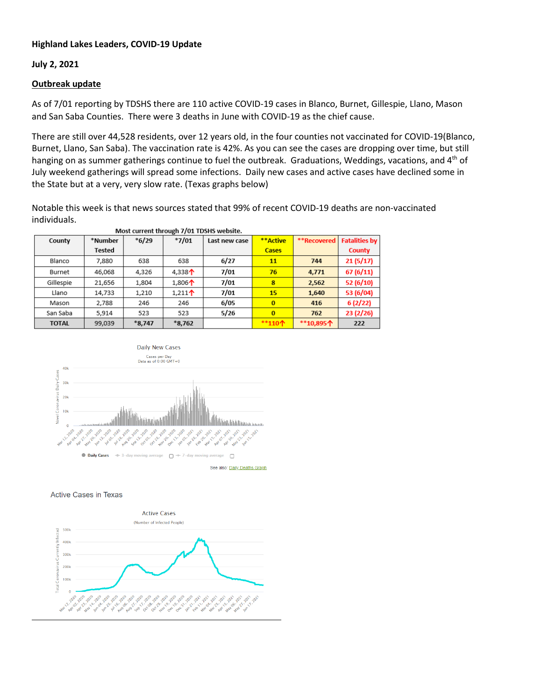## **Highland Lakes Leaders, COVID-19 Update**

### **July 2, 2021**

### **Outbreak update**

As of 7/01 reporting by TDSHS there are 110 active COVID-19 cases in Blanco, Burnet, Gillespie, Llano, Mason and San Saba Counties. There were 3 deaths in June with COVID-19 as the chief cause.

There are still over 44,528 residents, over 12 years old, in the four counties not vaccinated for COVID-19(Blanco, Burnet, Llano, San Saba). The vaccination rate is 42%. As you can see the cases are dropping over time, but still hanging on as summer gatherings continue to fuel the outbreak. Graduations, Weddings, vacations, and 4<sup>th</sup> of July weekend gatherings will spread some infections. Daily new cases and active cases have declined some in the State but at a very, very slow rate. (Texas graphs below)

Notable this week is that news sources stated that 99% of recent COVID-19 deaths are non-vaccinated individuals.

| Most current through 7/01 TDSHS website. |               |          |                                        |               |              |             |                      |
|------------------------------------------|---------------|----------|----------------------------------------|---------------|--------------|-------------|----------------------|
| County                                   | *Number       | $*6/29$  | $*7/01$                                | Last new case | **Active     | **Recovered | <b>Fatalities by</b> |
|                                          | <b>Tested</b> |          |                                        |               | <b>Cases</b> |             | County               |
| Blanco                                   | 7,880         | 638      | 638                                    | 6/27          | 11           | 744         | 21(5/17)             |
| Burnet                                   | 46,068        | 4,326    | 4,338 <sup><math>\uparrow</math></sup> | 7/01          | 76           | 4,771       | 67(6/11)             |
| Gillespie                                | 21,656        | 1,804    | 1,806 $\uparrow$                       | 7/01          | 8            | 2,562       | 52 (6/10)            |
| Llano                                    | 14,733        | 1,210    | 1,211 <sup><math>\dagger</math></sup>  | 7/01          | 15           | 1,640       | 53 (6/04)            |
| Mason                                    | 2,788         | 246      | 246                                    | 6/05          | $\bf{0}$     | 416         | 6(2/22)              |
| San Saba                                 | 5,914         | 523      | 523                                    | 5/26          | $\bf{0}$     | 762         | 23(2/26)             |
| <b>TOTAL</b>                             | 99,039        | $*8,747$ | $*8,762$                               |               | **110个       | **10,895个   | 222                  |



See also: Daily Deaths Graph

#### **Active Cases in Texas**